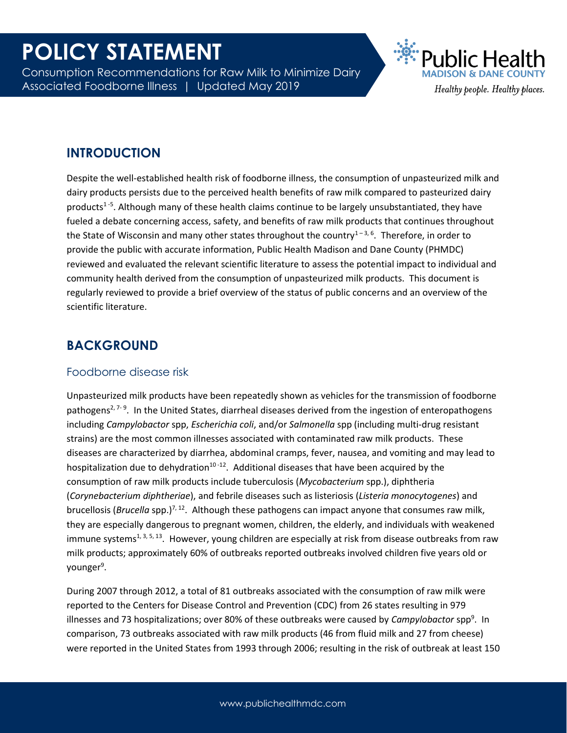Consumption Recommendations for Raw Milk to Minimize Dairy Associated Foodborne Illness | Updated May 2019



## **INTRODUCTION**

Despite the well-established health risk of foodborne illness, the consumption of unpasteurized milk and dairy products persists due to the perceived health benefits of raw milk compared to pasteurized dairy products<sup>1-5</sup>. Although many of these health claims continue to be largely unsubstantiated, they have fueled a debate concerning access, safety, and benefits of raw milk products that continues throughout the State of Wisconsin and many other states throughout the country<sup>1-3, 6</sup>. Therefore, in order to provide the public with accurate information, Public Health Madison and Dane County (PHMDC) reviewed and evaluated the relevant scientific literature to assess the potential impact to individual and community health derived from the consumption of unpasteurized milk products. This document is regularly reviewed to provide a brief overview of the status of public concerns and an overview of the scientific literature.

### **BACKGROUND**

#### Foodborne disease risk

Unpasteurized milk products have been repeatedly shown as vehicles for the transmission of foodborne pathogens<sup>2, 7-9</sup>. In the United States, diarrheal diseases derived from the ingestion of enteropathogens including *Campylobactor* spp, *Escherichia coli*, and/or *Salmonella* spp (including multi-drug resistant strains) are the most common illnesses associated with contaminated raw milk products. These diseases are characterized by diarrhea, abdominal cramps, fever, nausea, and vomiting and may lead to hospitalization due to dehydration $10 - 12$ . Additional diseases that have been acquired by the consumption of raw milk products include tuberculosis (*Mycobacterium* spp.), diphtheria (*Corynebacterium diphtheriae*), and febrile diseases such as listeriosis (*Listeria monocytogenes*) and brucellosis (*Brucella* spp.)7, <sup>12</sup>. Although these pathogens can impact anyone that consumes raw milk, they are especially dangerous to pregnant women, children, the elderly, and individuals with weakened immune systems<sup>1, 3, 5, 13</sup>. However, young children are especially at risk from disease outbreaks from raw milk products; approximately 60% of outbreaks reported outbreaks involved children five years old or younger<sup>9</sup>.

During 2007 through 2012, a total of 81 outbreaks associated with the consumption of raw milk were reported to the Centers for Disease Control and Prevention (CDC) from 26 states resulting in 979 illnesses and 73 hospitalizations; over 80% of these outbreaks were caused by *Campylobactor* spp<sup>9</sup>. In comparison, 73 outbreaks associated with raw milk products (46 from fluid milk and 27 from cheese) were reported in the United States from 1993 through 2006; resulting in the risk of outbreak at least 150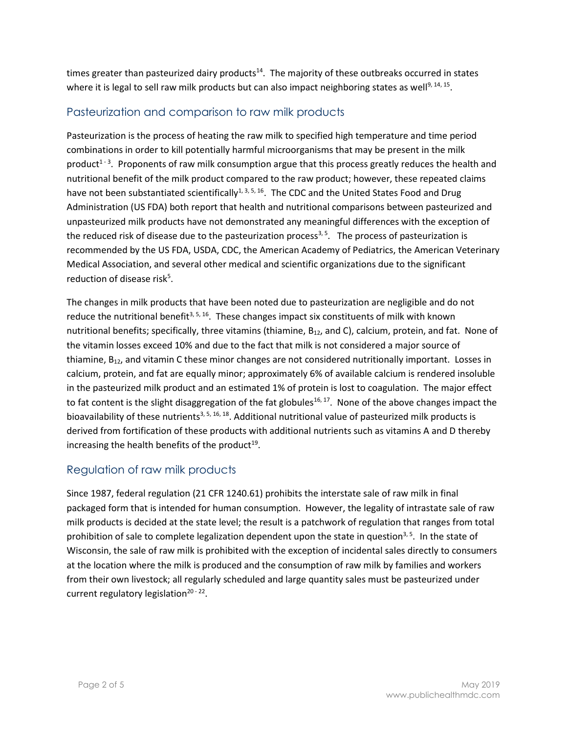times greater than pasteurized dairy products<sup>14</sup>. The majority of these outbreaks occurred in states where it is legal to sell raw milk products but can also impact neighboring states as well<sup>9, 14, 15</sup>.

### Pasteurization and comparison to raw milk products

Pasteurization is the process of heating the raw milk to specified high temperature and time period combinations in order to kill potentially harmful microorganisms that may be present in the milk product<sup>1-3</sup>. Proponents of raw milk consumption argue that this process greatly reduces the health and nutritional benefit of the milk product compared to the raw product; however, these repeated claims have not been substantiated scientifically<sup>1, 3, 5, 16</sup>. The CDC and the United States Food and Drug Administration (US FDA) both report that health and nutritional comparisons between pasteurized and unpasteurized milk products have not demonstrated any meaningful differences with the exception of the reduced risk of disease due to the pasteurization process<sup>3, 5</sup>. The process of pasteurization is recommended by the US FDA, USDA, CDC, the American Academy of Pediatrics, the American Veterinary Medical Association, and several other medical and scientific organizations due to the significant reduction of disease risk<sup>5</sup>.

The changes in milk products that have been noted due to pasteurization are negligible and do not reduce the nutritional benefit<sup>3, 5, 16</sup>. These changes impact six constituents of milk with known nutritional benefits; specifically, three vitamins (thiamine, B<sub>12</sub>, and C), calcium, protein, and fat. None of the vitamin losses exceed 10% and due to the fact that milk is not considered a major source of thiamine, B<sub>12</sub>, and vitamin C these minor changes are not considered nutritionally important. Losses in calcium, protein, and fat are equally minor; approximately 6% of available calcium is rendered insoluble in the pasteurized milk product and an estimated 1% of protein is lost to coagulation. The major effect to fat content is the slight disaggregation of the fat globules<sup>16, 17</sup>. None of the above changes impact the bioavailability of these nutrients<sup>3, 5, 16, 18</sup>. Additional nutritional value of pasteurized milk products is derived from fortification of these products with additional nutrients such as vitamins A and D thereby increasing the health benefits of the product<sup>19</sup>.

#### Regulation of raw milk products

Since 1987, federal regulation (21 CFR 1240.61) prohibits the interstate sale of raw milk in final packaged form that is intended for human consumption. However, the legality of intrastate sale of raw milk products is decided at the state level; the result is a patchwork of regulation that ranges from total prohibition of sale to complete legalization dependent upon the state in question<sup>3, 5</sup>. In the state of Wisconsin, the sale of raw milk is prohibited with the exception of incidental sales directly to consumers at the location where the milk is produced and the consumption of raw milk by families and workers from their own livestock; all regularly scheduled and large quantity sales must be pasteurized under current regulatory legislation<sup>20 - 22</sup>.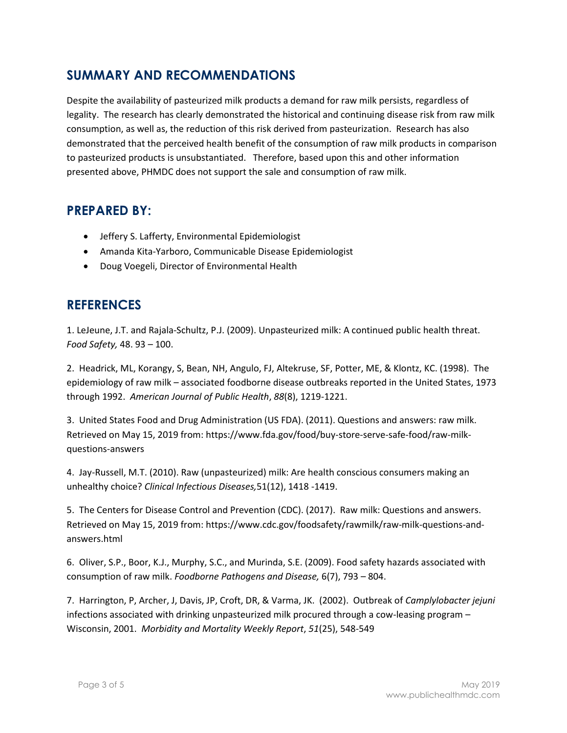# **SUMMARY AND RECOMMENDATIONS**

Despite the availability of pasteurized milk products a demand for raw milk persists, regardless of legality. The research has clearly demonstrated the historical and continuing disease risk from raw milk consumption, as well as, the reduction of this risk derived from pasteurization. Research has also demonstrated that the perceived health benefit of the consumption of raw milk products in comparison to pasteurized products is unsubstantiated. Therefore, based upon this and other information presented above, PHMDC does not support the sale and consumption of raw milk.

### **PREPARED BY:**

- Jeffery S. Lafferty, Environmental Epidemiologist
- Amanda Kita-Yarboro, Communicable Disease Epidemiologist
- Doug Voegeli, Director of Environmental Health

### **REFERENCES**

1. LeJeune, J.T. and Rajala-Schultz, P.J. (2009). Unpasteurized milk: A continued public health threat. *Food Safety,* 48. 93 – 100.

2. Headrick, ML, Korangy, S, Bean, NH, Angulo, FJ, Altekruse, SF, Potter, ME, & Klontz, KC. (1998). The epidemiology of raw milk – associated foodborne disease outbreaks reported in the United States, 1973 through 1992. *American Journal of Public Health*, *88*(8), 1219-1221.

3. United States Food and Drug Administration (US FDA). (2011). Questions and answers: raw milk. Retrieved on May 15, 2019 from: https://www.fda.gov/food/buy-store-serve-safe-food/raw-milkquestions-answers

4. Jay-Russell, M.T. (2010). Raw (unpasteurized) milk: Are health conscious consumers making an unhealthy choice? *Clinical Infectious Diseases,*51(12), 1418 -1419.

5. The Centers for Disease Control and Prevention (CDC). (2017). Raw milk: Questions and answers. Retrieved on May 15, 2019 from: https://www.cdc.gov/foodsafety/rawmilk/raw-milk-questions-andanswers.html

6. Oliver, S.P., Boor, K.J., Murphy, S.C., and Murinda, S.E. (2009). Food safety hazards associated with consumption of raw milk. *Foodborne Pathogens and Disease,* 6(7), 793 – 804.

7. Harrington, P, Archer, J, Davis, JP, Croft, DR, & Varma, JK. (2002). Outbreak of *Camplylobacter jejuni* infections associated with drinking unpasteurized milk procured through a cow-leasing program – Wisconsin, 2001. *Morbidity and Mortality Weekly Report*, *51*(25), 548-549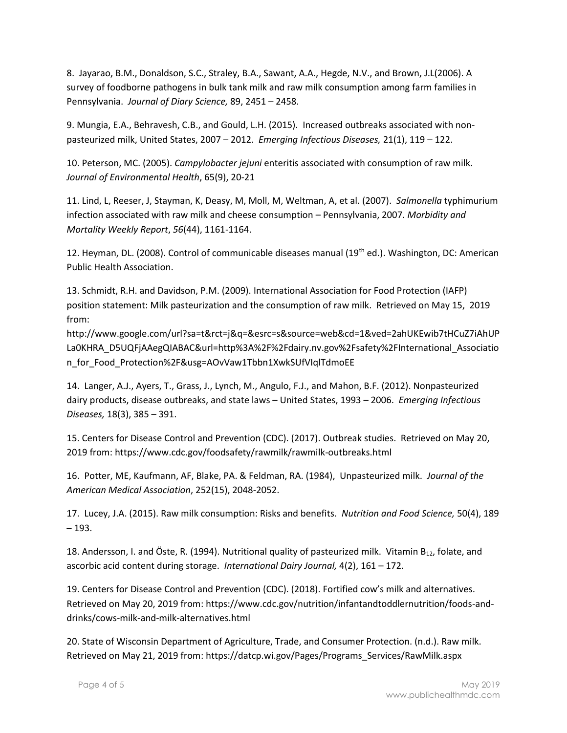8. Jayarao, B.M., Donaldson, S.C., Straley, B.A., Sawant, A.A., Hegde, N.V., and Brown, J.L(2006). A survey of foodborne pathogens in bulk tank milk and raw milk consumption among farm families in Pennsylvania. *Journal of Diary Science,* 89, 2451 – 2458.

9. Mungia, E.A., Behravesh, C.B., and Gould, L.H. (2015). Increased outbreaks associated with nonpasteurized milk, United States, 2007 – 2012. *Emerging Infectious Diseases,* 21(1), 119 – 122.

10. Peterson, MC. (2005). *Campylobacter jejuni* enteritis associated with consumption of raw milk. *Journal of Environmental Health*, 65(9), 20-21

11. Lind, L, Reeser, J, Stayman, K, Deasy, M, Moll, M, Weltman, A, et al. (2007). *Salmonella* typhimurium infection associated with raw milk and cheese consumption – Pennsylvania, 2007. *Morbidity and Mortality Weekly Report*, *56*(44), 1161-1164.

12. Heyman, DL. (2008). Control of communicable diseases manual (19th ed.). Washington, DC: American Public Health Association.

13. Schmidt, R.H. and Davidson, P.M. (2009). International Association for Food Protection (IAFP) position statement: Milk pasteurization and the consumption of raw milk. Retrieved on May 15, 2019 from:

http://www.google.com/url?sa=t&rct=j&q=&esrc=s&source=web&cd=1&ved=2ahUKEwib7tHCuZ7iAhUP La0KHRA\_D5UQFjAAegQIABAC&url=http%3A%2F%2Fdairy.nv.gov%2Fsafety%2FInternational\_Associatio n for Food Protection%2F&usg=AOvVaw1Tbbn1XwkSUfVIqlTdmoEE

14. Langer, A.J., Ayers, T., Grass, J., Lynch, M., Angulo, F.J., and Mahon, B.F. (2012). Nonpasteurized dairy products, disease outbreaks, and state laws – United States, 1993 – 2006. *Emerging Infectious Diseases,* 18(3), 385 – 391.

15. Centers for Disease Control and Prevention (CDC). (2017). Outbreak studies. Retrieved on May 20, 2019 from: https://www.cdc.gov/foodsafety/rawmilk/rawmilk-outbreaks.html

16. Potter, ME, Kaufmann, AF, Blake, PA. & Feldman, RA. (1984), Unpasteurized milk. *Journal of the American Medical Association*, 252(15), 2048-2052.

17. Lucey, J.A. (2015). Raw milk consumption: Risks and benefits. *Nutrition and Food Science,* 50(4), 189 – 193.

18. Andersson, I. and Öste, R. (1994). Nutritional quality of pasteurized milk. Vitamin B<sub>12</sub>, folate, and ascorbic acid content during storage. *International Dairy Journal,* 4(2), 161 – 172.

19. Centers for Disease Control and Prevention (CDC). (2018). Fortified cow's milk and alternatives. Retrieved on May 20, 2019 from: https://www.cdc.gov/nutrition/infantandtoddlernutrition/foods-anddrinks/cows-milk-and-milk-alternatives.html

20. State of Wisconsin Department of Agriculture, Trade, and Consumer Protection. (n.d.). Raw milk. Retrieved on May 21, 2019 from: https://datcp.wi.gov/Pages/Programs\_Services/RawMilk.aspx